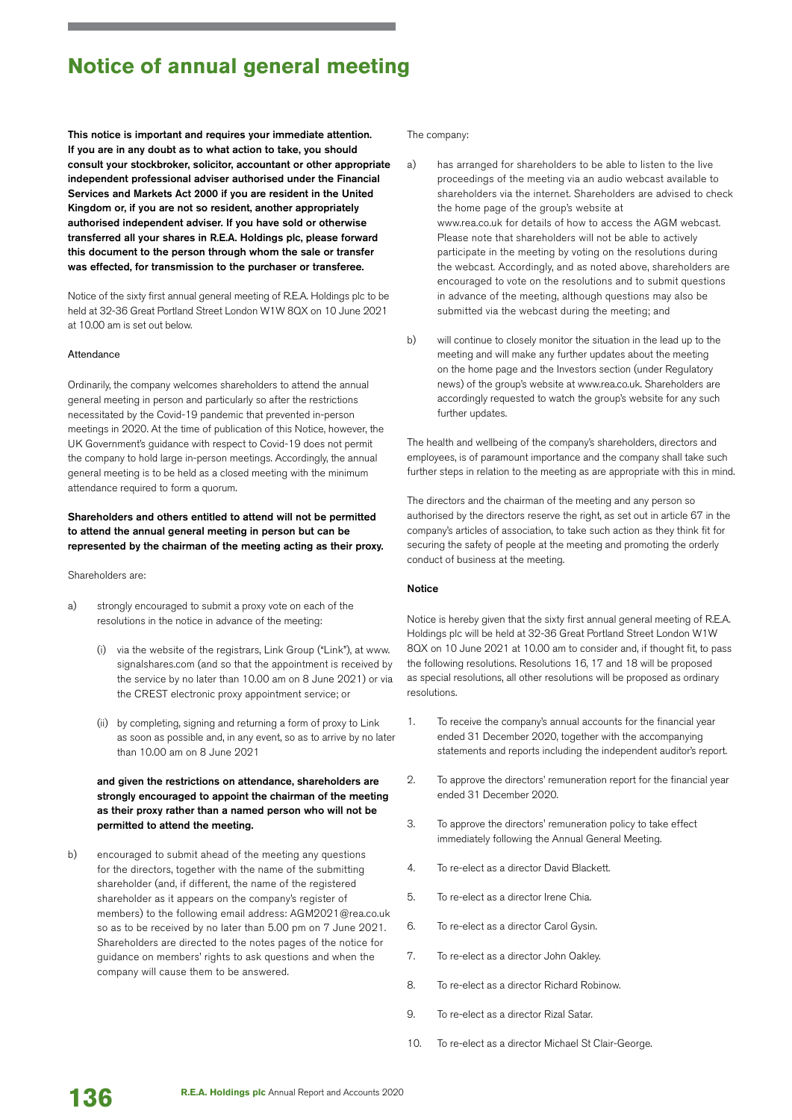# **Notice of annual general meeting**

This notice is important and requires your immediate attention. If you are in any doubt as to what action to take, you should consult your stockbroker, solicitor, accountant or other appropriate independent professional adviser authorised under the Financial Services and Markets Act 2000 if you are resident in the United Kingdom or, if you are not so resident, another appropriately authorised independent adviser. If you have sold or otherwise transferred all your shares in R.E.A. Holdings plc, please forward this document to the person through whom the sale or transfer was effected, for transmission to the purchaser or transferee.

Notice of the sixty first annual general meeting of R.E.A. Holdings plc to be held at 32-36 Great Portland Street London W1W 8QX on 10 June 2021 at 10.00 am is set out below.

### Attendance

Ordinarily, the company welcomes shareholders to attend the annual general meeting in person and particularly so after the restrictions necessitated by the Covid-19 pandemic that prevented in-person meetings in 2020. At the time of publication of this Notice, however, the UK Government's guidance with respect to Covid-19 does not permit the company to hold large in-person meetings. Accordingly, the annual general meeting is to be held as a closed meeting with the minimum attendance required to form a quorum.

## Shareholders and others entitled to attend will not be permitted to attend the annual general meeting in person but can be represented by the chairman of the meeting acting as their proxy.

## Shareholders are:

- a) strongly encouraged to submit a proxy vote on each of the resolutions in the notice in advance of the meeting:
	- (i) via the website of the registrars, Link Group ("Link"), at www. signalshares.com (and so that the appointment is received by the service by no later than 10.00 am on 8 June 2021) or via the CREST electronic proxy appointment service; or
	- (ii) by completing, signing and returning a form of proxy to Link as soon as possible and, in any event, so as to arrive by no later than 10.00 am on 8 June 2021

# and given the restrictions on attendance, shareholders are strongly encouraged to appoint the chairman of the meeting as their proxy rather than a named person who will not be permitted to attend the meeting.

b) encouraged to submit ahead of the meeting any questions for the directors, together with the name of the submitting shareholder (and, if different, the name of the registered shareholder as it appears on the company's register of members) to the following email address: AGM2021@rea.co.uk so as to be received by no later than 5.00 pm on 7 June 2021. Shareholders are directed to the notes pages of the notice for guidance on members' rights to ask questions and when the company will cause them to be answered.

#### The company:

- a) has arranged for shareholders to be able to listen to the live proceedings of the meeting via an audio webcast available to shareholders via the internet. Shareholders are advised to check the home page of the group's website at www.rea.co.uk for details of how to access the AGM webcast. Please note that shareholders will not be able to actively participate in the meeting by voting on the resolutions during the webcast. Accordingly, and as noted above, shareholders are encouraged to vote on the resolutions and to submit questions in advance of the meeting, although questions may also be submitted via the webcast during the meeting; and
- b) will continue to closely monitor the situation in the lead up to the meeting and will make any further updates about the meeting on the home page and the Investors section (under Regulatory news) of the group's website at www.rea.co.uk. Shareholders are accordingly requested to watch the group's website for any such further updates.

The health and wellbeing of the company's shareholders, directors and employees, is of paramount importance and the company shall take such further steps in relation to the meeting as are appropriate with this in mind.

The directors and the chairman of the meeting and any person so authorised by the directors reserve the right, as set out in article 67 in the company's articles of association, to take such action as they think fit for securing the safety of people at the meeting and promoting the orderly conduct of business at the meeting.

### Notice

Notice is hereby given that the sixty first annual general meeting of R.E.A. Holdings plc will be held at 32-36 Great Portland Street London W1W 8QX on 10 June 2021 at 10.00 am to consider and, if thought fit, to pass the following resolutions. Resolutions 16, 17 and 18 will be proposed as special resolutions, all other resolutions will be proposed as ordinary resolutions.

- 1. To receive the company's annual accounts for the financial year ended 31 December 2020, together with the accompanying statements and reports including the independent auditor's report.
- 2. To approve the directors' remuneration report for the financial year ended 31 December 2020.
- 3. To approve the directors' remuneration policy to take effect immediately following the Annual General Meeting.
- 4. To re-elect as a director David Blackett.
- 5. To re-elect as a director Irene Chia.
- 6. To re-elect as a director Carol Gysin.
- 7. To re-elect as a director John Oakley.
- 8. To re-elect as a director Richard Robinow.
- 9. To re-elect as a director Rizal Satar.
- 10. To re-elect as a director Michael St Clair-George.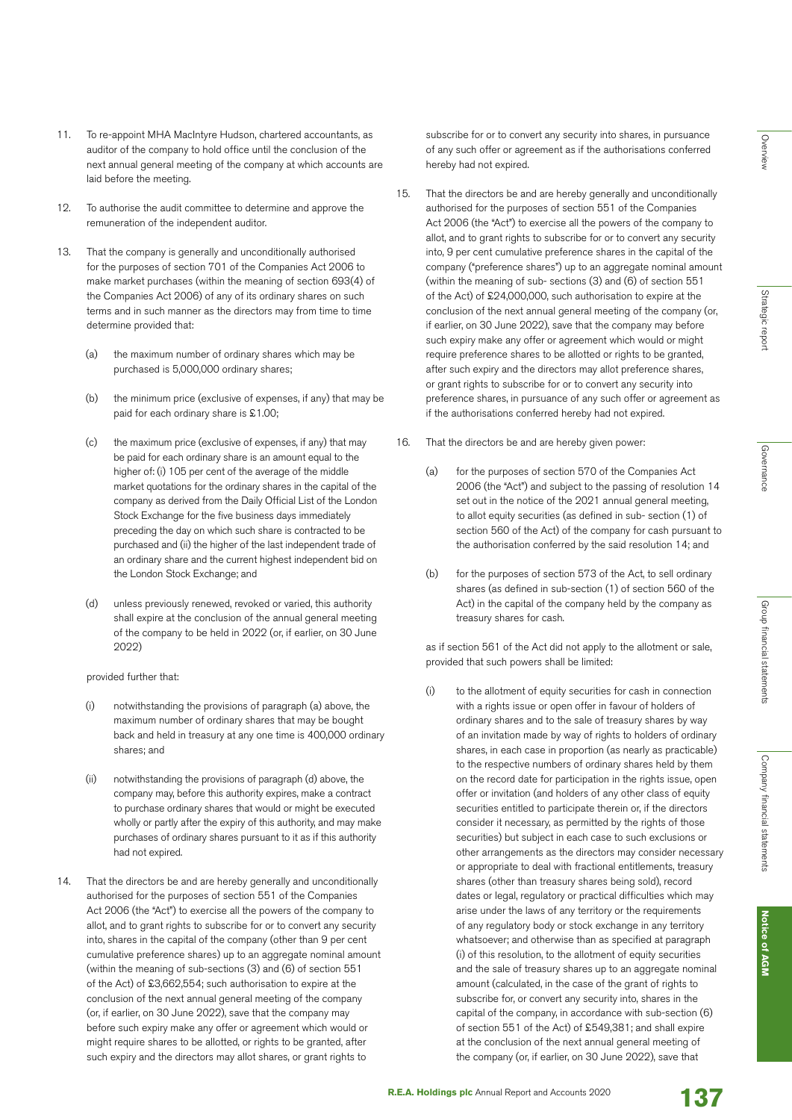**Notice of AGM Notice of AGM**

11. To re-appoint MHA MacIntyre Hudson, chartered accountants, as auditor of the company to hold office until the conclusion of the next annual general meeting of the company at which accounts are laid before the meeting.

- 12. To authorise the audit committee to determine and approve the remuneration of the independent auditor.
- 13. That the company is generally and unconditionally authorised for the purposes of section 701 of the Companies Act 2006 to make market purchases (within the meaning of section 693(4) of the Companies Act 2006) of any of its ordinary shares on such terms and in such manner as the directors may from time to time determine provided that:
	- (a) the maximum number of ordinary shares which may be purchased is 5,000,000 ordinary shares;
	- (b) the minimum price (exclusive of expenses, if any) that may be paid for each ordinary share is £1.00;
	- (c) the maximum price (exclusive of expenses, if any) that may be paid for each ordinary share is an amount equal to the higher of: (i) 105 per cent of the average of the middle market quotations for the ordinary shares in the capital of the company as derived from the Daily Official List of the London Stock Exchange for the five business days immediately preceding the day on which such share is contracted to be purchased and (ii) the higher of the last independent trade of an ordinary share and the current highest independent bid on the London Stock Exchange; and
	- (d) unless previously renewed, revoked or varied, this authority shall expire at the conclusion of the annual general meeting of the company to be held in 2022 (or, if earlier, on 30 June 2022)

provided further that:

- notwithstanding the provisions of paragraph (a) above, the maximum number of ordinary shares that may be bought back and held in treasury at any one time is 400,000 ordinary shares; and
- (ii) notwithstanding the provisions of paragraph (d) above, the company may, before this authority expires, make a contract to purchase ordinary shares that would or might be executed wholly or partly after the expiry of this authority, and may make purchases of ordinary shares pursuant to it as if this authority had not expired.
- 14. That the directors be and are hereby generally and unconditionally authorised for the purposes of section 551 of the Companies Act 2006 (the "Act") to exercise all the powers of the company to allot, and to grant rights to subscribe for or to convert any security into, shares in the capital of the company (other than 9 per cent cumulative preference shares) up to an aggregate nominal amount (within the meaning of sub-sections (3) and (6) of section 551 of the Act) of £3,662,554; such authorisation to expire at the conclusion of the next annual general meeting of the company (or, if earlier, on 30 June 2022), save that the company may before such expiry make any offer or agreement which would or might require shares to be allotted, or rights to be granted, after such expiry and the directors may allot shares, or grant rights to

subscribe for or to convert any security into shares, in pursuance of any such offer or agreement as if the authorisations conferred hereby had not expired.

- 15. That the directors be and are hereby generally and unconditionally authorised for the purposes of section 551 of the Companies Act 2006 (the "Act") to exercise all the powers of the company to allot, and to grant rights to subscribe for or to convert any security into, 9 per cent cumulative preference shares in the capital of the company ("preference shares") up to an aggregate nominal amount (within the meaning of sub- sections (3) and (6) of section 551 of the Act) of £24,000,000, such authorisation to expire at the conclusion of the next annual general meeting of the company (or, if earlier, on 30 June 2022), save that the company may before such expiry make any offer or agreement which would or might require preference shares to be allotted or rights to be granted, after such expiry and the directors may allot preference shares, or grant rights to subscribe for or to convert any security into preference shares, in pursuance of any such offer or agreement as if the authorisations conferred hereby had not expired.
- 16. That the directors be and are hereby given power:
	- (a) for the purposes of section 570 of the Companies Act 2006 (the "Act") and subject to the passing of resolution 14 set out in the notice of the 2021 annual general meeting, to allot equity securities (as defined in sub- section (1) of section 560 of the Act) of the company for cash pursuant to the authorisation conferred by the said resolution 14; and
	- (b) for the purposes of section 573 of the Act, to sell ordinary shares (as defined in sub-section (1) of section 560 of the Act) in the capital of the company held by the company as treasury shares for cash.

 as if section 561 of the Act did not apply to the allotment or sale, provided that such powers shall be limited:

(i) to the allotment of equity securities for cash in connection with a rights issue or open offer in favour of holders of ordinary shares and to the sale of treasury shares by way of an invitation made by way of rights to holders of ordinary shares, in each case in proportion (as nearly as practicable) to the respective numbers of ordinary shares held by them on the record date for participation in the rights issue, open offer or invitation (and holders of any other class of equity securities entitled to participate therein or, if the directors consider it necessary, as permitted by the rights of those securities) but subject in each case to such exclusions or other arrangements as the directors may consider necessary or appropriate to deal with fractional entitlements, treasury shares (other than treasury shares being sold), record dates or legal, regulatory or practical difficulties which may arise under the laws of any territory or the requirements of any regulatory body or stock exchange in any territory whatsoever; and otherwise than as specified at paragraph (i) of this resolution, to the allotment of equity securities and the sale of treasury shares up to an aggregate nominal amount (calculated, in the case of the grant of rights to subscribe for, or convert any security into, shares in the capital of the company, in accordance with sub-section (6) of section 551 of the Act) of £549,381; and shall expire at the conclusion of the next annual general meeting of the company (or, if earlier, on 30 June 2022), save that

**R.E.A. Holdings plc** Annual Report and Accounts 2020<br>**137**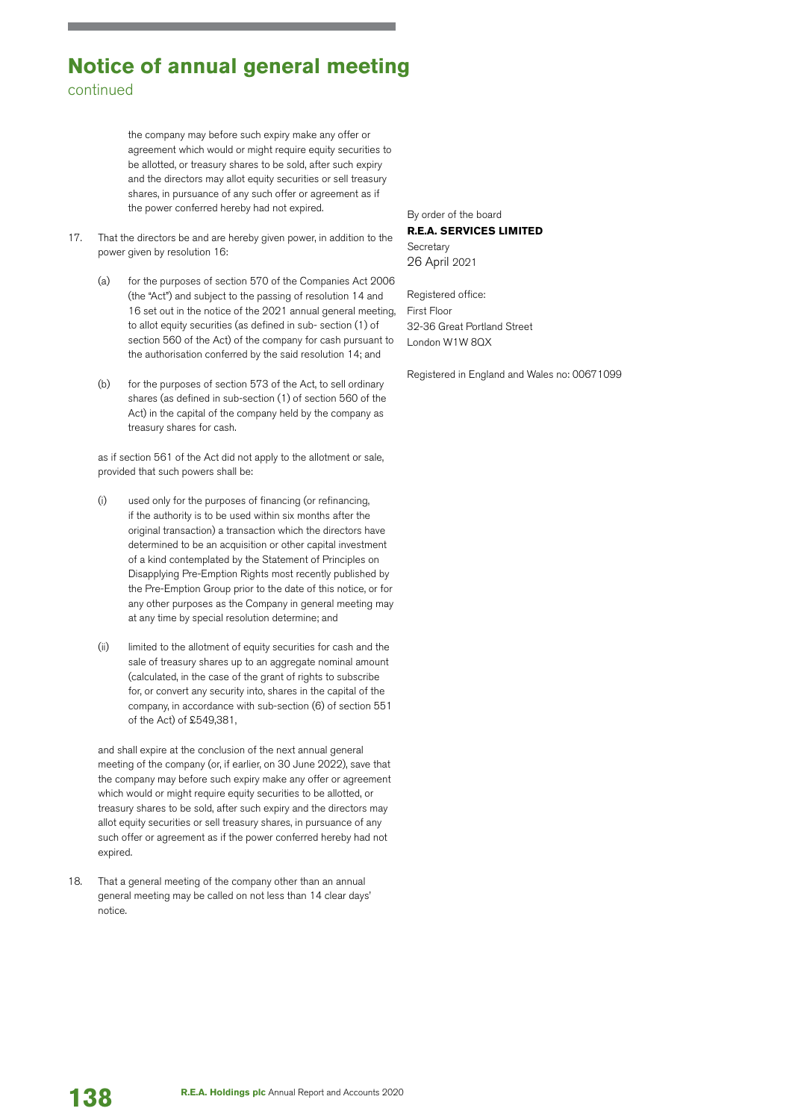# **Notice of annual general meeting** continued

the company may before such expiry make any offer or agreement which would or might require equity securities to be allotted, or treasury shares to be sold, after such expiry and the directors may allot equity securities or sell treasury shares, in pursuance of any such offer or agreement as if the power conferred hereby had not expired.

- 17. That the directors be and are hereby given power, in addition to the power given by resolution 16:
	- (a) for the purposes of section 570 of the Companies Act 2006 (the "Act") and subject to the passing of resolution 14 and 16 set out in the notice of the 2021 annual general meeting, to allot equity securities (as defined in sub- section (1) of section 560 of the Act) of the company for cash pursuant to the authorisation conferred by the said resolution 14; and
	- (b) for the purposes of section 573 of the Act, to sell ordinary shares (as defined in sub-section (1) of section 560 of the Act) in the capital of the company held by the company as treasury shares for cash.

 as if section 561 of the Act did not apply to the allotment or sale, provided that such powers shall be:

- (i) used only for the purposes of financing (or refinancing, if the authority is to be used within six months after the original transaction) a transaction which the directors have determined to be an acquisition or other capital investment of a kind contemplated by the Statement of Principles on Disapplying Pre-Emption Rights most recently published by the Pre-Emption Group prior to the date of this notice, or for any other purposes as the Company in general meeting may at any time by special resolution determine; and
- (ii) limited to the allotment of equity securities for cash and the sale of treasury shares up to an aggregate nominal amount (calculated, in the case of the grant of rights to subscribe for, or convert any security into, shares in the capital of the company, in accordance with sub-section (6) of section 551 of the Act) of £549,381,

 and shall expire at the conclusion of the next annual general meeting of the company (or, if earlier, on 30 June 2022), save that the company may before such expiry make any offer or agreement which would or might require equity securities to be allotted, or treasury shares to be sold, after such expiry and the directors may allot equity securities or sell treasury shares, in pursuance of any such offer or agreement as if the power conferred hereby had not expired.

18. That a general meeting of the company other than an annual general meeting may be called on not less than 14 clear days' notice.

By order of the board **R.E.A. SERVICES LIMITED Secretary** 26 April 2021

Registered office: First Floor 32-36 Great Portland Street London W1W 8QX

Registered in England and Wales no: 00671099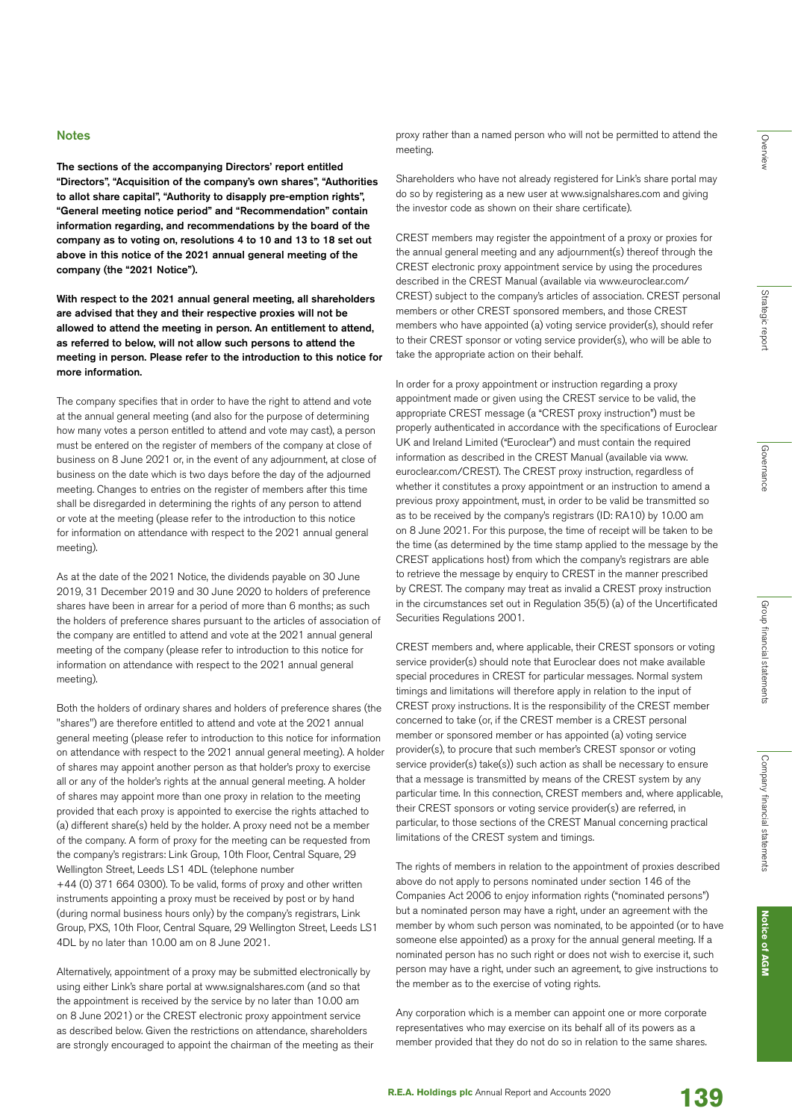The sections of the accompanying Directors' report entitled "Directors", "Acquisition of the company's own shares", "Authorities to allot share capital", "Authority to disapply pre-emption rights", "General meeting notice period" and "Recommendation" contain information regarding, and recommendations by the board of the company as to voting on, resolutions 4 to 10 and 13 to 18 set out above in this notice of the 2021 annual general meeting of the company (the "2021 Notice").

With respect to the 2021 annual general meeting, all shareholders are advised that they and their respective proxies will not be allowed to attend the meeting in person. An entitlement to attend, as referred to below, will not allow such persons to attend the meeting in person. Please refer to the introduction to this notice for more information.

The company specifies that in order to have the right to attend and vote at the annual general meeting (and also for the purpose of determining how many votes a person entitled to attend and vote may cast), a person must be entered on the register of members of the company at close of business on 8 June 2021 or, in the event of any adjournment, at close of business on the date which is two days before the day of the adjourned meeting. Changes to entries on the register of members after this time shall be disregarded in determining the rights of any person to attend or vote at the meeting (please refer to the introduction to this notice for information on attendance with respect to the 2021 annual general meeting).

As at the date of the 2021 Notice, the dividends payable on 30 June 2019, 31 December 2019 and 30 June 2020 to holders of preference shares have been in arrear for a period of more than 6 months; as such the holders of preference shares pursuant to the articles of association of the company are entitled to attend and vote at the 2021 annual general meeting of the company (please refer to introduction to this notice for information on attendance with respect to the 2021 annual general meeting).

Both the holders of ordinary shares and holders of preference shares (the "shares") are therefore entitled to attend and vote at the 2021 annual general meeting (please refer to introduction to this notice for information on attendance with respect to the 2021 annual general meeting). A holder of shares may appoint another person as that holder's proxy to exercise all or any of the holder's rights at the annual general meeting. A holder of shares may appoint more than one proxy in relation to the meeting provided that each proxy is appointed to exercise the rights attached to (a) different share(s) held by the holder. A proxy need not be a member of the company. A form of proxy for the meeting can be requested from the company's registrars: Link Group, 10th Floor, Central Square, 29 Wellington Street, Leeds LS1 4DL (telephone number +44 (0) 371 664 0300). To be valid, forms of proxy and other written instruments appointing a proxy must be received by post or by hand (during normal business hours only) by the company's registrars, Link Group, PXS, 10th Floor, Central Square, 29 Wellington Street, Leeds LS1 4DL by no later than 10.00 am on 8 June 2021.

Alternatively, appointment of a proxy may be submitted electronically by using either Link's share portal at www.signalshares.com (and so that the appointment is received by the service by no later than 10.00 am on 8 June 2021) or the CREST electronic proxy appointment service as described below. Given the restrictions on attendance, shareholders are strongly encouraged to appoint the chairman of the meeting as their proxy rather than a named person who will not be permitted to attend the meeting.

Shareholders who have not already registered for Link's share portal may do so by registering as a new user at www.signalshares.com and giving the investor code as shown on their share certificate).

CREST members may register the appointment of a proxy or proxies for the annual general meeting and any adjournment(s) thereof through the CREST electronic proxy appointment service by using the procedures described in the CREST Manual (available via www.euroclear.com/ CREST) subject to the company's articles of association. CREST personal members or other CREST sponsored members, and those CREST members who have appointed (a) voting service provider(s), should refer to their CREST sponsor or voting service provider(s), who will be able to take the appropriate action on their behalf.

In order for a proxy appointment or instruction regarding a proxy appointment made or given using the CREST service to be valid, the appropriate CREST message (a "CREST proxy instruction") must be properly authenticated in accordance with the specifications of Euroclear UK and Ireland Limited ("Euroclear") and must contain the required information as described in the CREST Manual (available via www. euroclear.com/CREST). The CREST proxy instruction, regardless of whether it constitutes a proxy appointment or an instruction to amend a previous proxy appointment, must, in order to be valid be transmitted so as to be received by the company's registrars (ID: RA10) by 10.00 am on 8 June 2021. For this purpose, the time of receipt will be taken to be the time (as determined by the time stamp applied to the message by the CREST applications host) from which the company's registrars are able to retrieve the message by enquiry to CREST in the manner prescribed by CREST. The company may treat as invalid a CREST proxy instruction in the circumstances set out in Regulation 35(5) (a) of the Uncertificated Securities Regulations 2001.

CREST members and, where applicable, their CREST sponsors or voting service provider(s) should note that Euroclear does not make available special procedures in CREST for particular messages. Normal system timings and limitations will therefore apply in relation to the input of CREST proxy instructions. It is the responsibility of the CREST member concerned to take (or, if the CREST member is a CREST personal member or sponsored member or has appointed (a) voting service provider(s), to procure that such member's CREST sponsor or voting service provider(s) take(s)) such action as shall be necessary to ensure that a message is transmitted by means of the CREST system by any particular time. In this connection, CREST members and, where applicable, their CREST sponsors or voting service provider(s) are referred, in particular, to those sections of the CREST Manual concerning practical limitations of the CREST system and timings.

The rights of members in relation to the appointment of proxies described above do not apply to persons nominated under section 146 of the Companies Act 2006 to enjoy information rights ("nominated persons") but a nominated person may have a right, under an agreement with the member by whom such person was nominated, to be appointed (or to have someone else appointed) as a proxy for the annual general meeting. If a nominated person has no such right or does not wish to exercise it, such person may have a right, under such an agreement, to give instructions to the member as to the exercise of voting rights.

Any corporation which is a member can appoint one or more corporate representatives who may exercise on its behalf all of its powers as a member provided that they do not do so in relation to the same shares.